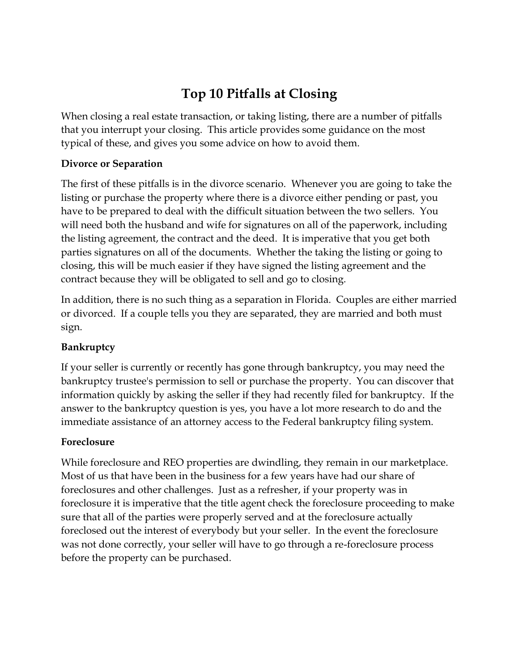# **Top 10 Pitfalls at Closing**

When closing a real estate transaction, or taking listing, there are a number of pitfalls that you interrupt your closing. This article provides some guidance on the most typical of these, and gives you some advice on how to avoid them.

### **Divorce or Separation**

The first of these pitfalls is in the divorce scenario. Whenever you are going to take the listing or purchase the property where there is a divorce either pending or past, you have to be prepared to deal with the difficult situation between the two sellers. You will need both the husband and wife for signatures on all of the paperwork, including the listing agreement, the contract and the deed. It is imperative that you get both parties signatures on all of the documents. Whether the taking the listing or going to closing, this will be much easier if they have signed the listing agreement and the contract because they will be obligated to sell and go to closing.

In addition, there is no such thing as a separation in Florida. Couples are either married or divorced. If a couple tells you they are separated, they are married and both must sign.

## **Bankruptcy**

If your seller is currently or recently has gone through bankruptcy, you may need the bankruptcy trustee's permission to sell or purchase the property. You can discover that information quickly by asking the seller if they had recently filed for bankruptcy. If the answer to the bankruptcy question is yes, you have a lot more research to do and the immediate assistance of an attorney access to the Federal bankruptcy filing system.

#### **Foreclosure**

While foreclosure and REO properties are dwindling, they remain in our marketplace. Most of us that have been in the business for a few years have had our share of foreclosures and other challenges. Just as a refresher, if your property was in foreclosure it is imperative that the title agent check the foreclosure proceeding to make sure that all of the parties were properly served and at the foreclosure actually foreclosed out the interest of everybody but your seller. In the event the foreclosure was not done correctly, your seller will have to go through a re-foreclosure process before the property can be purchased.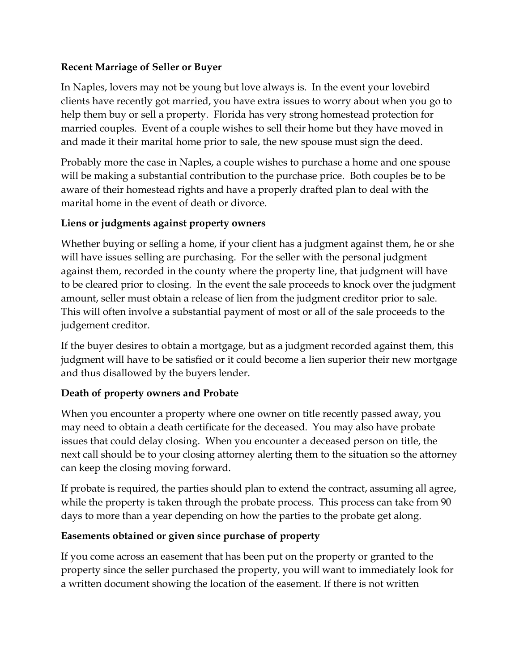#### **Recent Marriage of Seller or Buyer**

In Naples, lovers may not be young but love always is. In the event your lovebird clients have recently got married, you have extra issues to worry about when you go to help them buy or sell a property. Florida has very strong homestead protection for married couples. Event of a couple wishes to sell their home but they have moved in and made it their marital home prior to sale, the new spouse must sign the deed.

Probably more the case in Naples, a couple wishes to purchase a home and one spouse will be making a substantial contribution to the purchase price. Both couples be to be aware of their homestead rights and have a properly drafted plan to deal with the marital home in the event of death or divorce.

## **Liens or judgments against property owners**

Whether buying or selling a home, if your client has a judgment against them, he or she will have issues selling are purchasing. For the seller with the personal judgment against them, recorded in the county where the property line, that judgment will have to be cleared prior to closing. In the event the sale proceeds to knock over the judgment amount, seller must obtain a release of lien from the judgment creditor prior to sale. This will often involve a substantial payment of most or all of the sale proceeds to the judgement creditor.

If the buyer desires to obtain a mortgage, but as a judgment recorded against them, this judgment will have to be satisfied or it could become a lien superior their new mortgage and thus disallowed by the buyers lender.

## **Death of property owners and Probate**

When you encounter a property where one owner on title recently passed away, you may need to obtain a death certificate for the deceased. You may also have probate issues that could delay closing. When you encounter a deceased person on title, the next call should be to your closing attorney alerting them to the situation so the attorney can keep the closing moving forward.

If probate is required, the parties should plan to extend the contract, assuming all agree, while the property is taken through the probate process. This process can take from 90 days to more than a year depending on how the parties to the probate get along.

## **Easements obtained or given since purchase of property**

If you come across an easement that has been put on the property or granted to the property since the seller purchased the property, you will want to immediately look for a written document showing the location of the easement. If there is not written